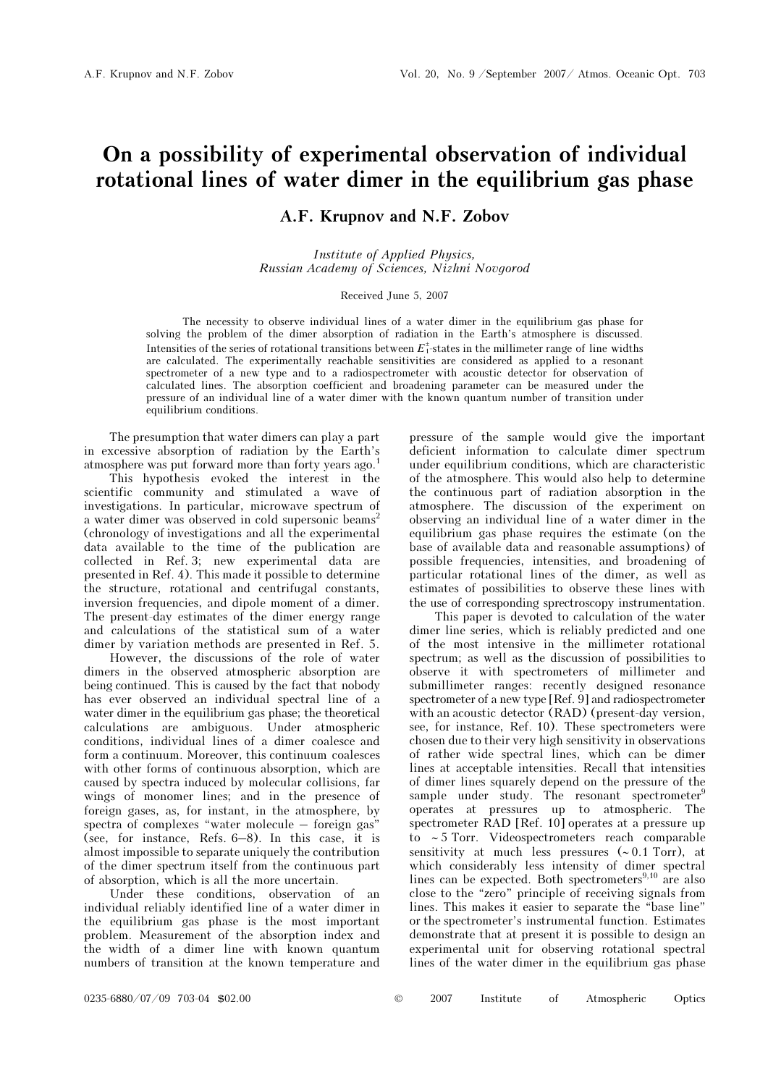# On a possibility of experimental observation of individual rotational lines of water dimer in the equilibrium gas phase

# A.F. Krupnov and N.F. Zobov

Institute of Applied Physics, Russian Academy of Sciences, Nizhni Novgorod

#### Received June 5, 2007

The necessity to observe individual lines of a water dimer in the equilibrium gas phase for solving the problem of the dimer absorption of radiation in the Earth's atmosphere is discussed. Intensities of the series of rotational transitions between  $E_1^{\pm}$ -states in the millimeter range of line widths are calculated. The experimentally reachable sensitivities are considered as applied to a resonant spectrometer of a new type and to a radiospectrometer with acoustic detector for observation of calculated lines. The absorption coefficient and broadening parameter can be measured under the pressure of an individual line of a water dimer with the known quantum number of transition under equilibrium conditions.

The presumption that water dimers can play a part in excessive absorption of radiation by the Earth's atmosphere was put forward more than forty years ago.<sup>1</sup>

 This hypothesis evoked the interest in the scientific community and stimulated a wave of investigations. In particular, microwave spectrum of a water dimer was observed in cold supersonic beams<sup>2</sup> (chronology of investigations and all the experimental data available to the time of the publication are collected in Ref. 3; new experimental data are presented in Ref. 4). This made it possible to determine the structure, rotational and centrifugal constants, inversion frequencies, and dipole moment of a dimer. The present-day estimates of the dimer energy range and calculations of the statistical sum of a water dimer by variation methods are presented in Ref. 5.

However, the discussions of the role of water dimers in the observed atmospheric absorption are being continued. This is caused by the fact that nobody has ever observed an individual spectral line of a water dimer in the equilibrium gas phase; the theoretical calculations are ambiguous. Under atmospheric conditions, individual lines of a dimer coalesce and form a continuum. Moreover, this continuum coalesces with other forms of continuous absorption, which are caused by spectra induced by molecular collisions, far wings of monomer lines; and in the presence of foreign gases, as, for instant, in the atmosphere, by spectra of complexes "water molecule – foreign gas" (see, for instance, Refs. 6–8). In this case, it is almost impossible to separate uniquely the contribution of the dimer spectrum itself from the continuous part of absorption, which is all the more uncertain.

Under these conditions, observation of an individual reliably identified line of a water dimer in the equilibrium gas phase is the most important problem. Measurement of the absorption index and the width of a dimer line with known quantum numbers of transition at the known temperature and

pressure of the sample would give the important deficient information to calculate dimer spectrum under equilibrium conditions, which are characteristic of the atmosphere. This would also help to determine the continuous part of radiation absorption in the atmosphere. The discussion of the experiment on observing an individual line of a water dimer in the equilibrium gas phase requires the estimate (on the base of available data and reasonable assumptions) of possible frequencies, intensities, and broadening of particular rotational lines of the dimer, as well as estimates of possibilities to observe these lines with the use of corresponding sprectroscopy instrumentation.

 This paper is devoted to calculation of the water dimer line series, which is reliably predicted and one of the most intensive in the millimeter rotational spectrum; as well as the discussion of possibilities to observe it with spectrometers of millimeter and submillimeter ranges: recently designed resonance spectrometer of a new type [Ref. 9] and radiospectrometer with an acoustic detector (RAD) (present-day version, see, for instance, Ref. 10). These spectrometers were chosen due to their very high sensitivity in observations of rather wide spectral lines, which can be dimer lines at acceptable intensities. Recall that intensities of dimer lines squarely depend on the pressure of the sample under study. The resonant spectrometer<sup>9</sup> operates at pressures up to atmospheric. The spectrometer RAD [Ref. 10] operates at a pressure up to ∼ 5 Torr. Videospectrometers reach comparable sensitivity at much less pressures (∼ 0.1 Torr), at which considerably less intensity of dimer spectral lines can be expected. Both spectrometers $9,10$  are also close to the "zero" principle of receiving signals from lines. This makes it easier to separate the "base line" or the spectrometer's instrumental function. Estimates demonstrate that at present it is possible to design an experimental unit for observing rotational spectral lines of the water dimer in the equilibrium gas phase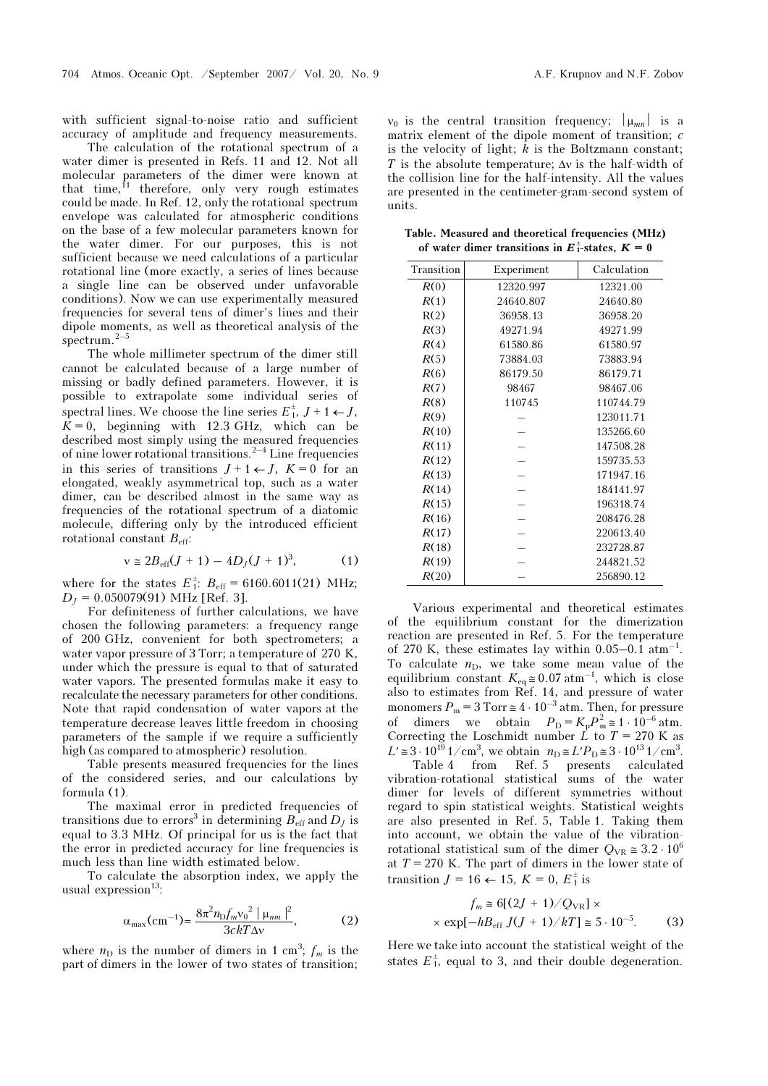with sufficient signal-to-noise ratio and sufficient accuracy of amplitude and frequency measurements.

 The calculation of the rotational spectrum of a water dimer is presented in Refs. 11 and 12. Not all molecular parameters of the dimer were known at that time,<sup>11</sup> therefore, only very rough estimates could be made. In Ref. 12, only the rotational spectrum envelope was calculated for atmospheric conditions on the base of a few molecular parameters known for the water dimer. For our purposes, this is not sufficient because we need calculations of a particular rotational line (more exactly, a series of lines because a single line can be observed under unfavorable conditions). Now we can use experimentally measured frequencies for several tens of dimer's lines and their dipole moments, as well as theoretical analysis of the spectrum.2–5

The whole millimeter spectrum of the dimer still cannot be calculated because of a large number of missing or badly defined parameters. However, it is possible to extrapolate some individual series of spectral lines. We choose the line series  $E_1^{\pm}, J+1 \leftarrow J$ ,  $K = 0$ , beginning with 12.3 GHz, which can be described most simply using the measured frequencies of nine lower rotational transitions.<sup>2–4</sup> Line frequencies in this series of transitions  $J+1 \leftarrow J$ ,  $K=0$  for an elongated, weakly asymmetrical top, such as a water dimer, can be described almost in the same way as frequencies of the rotational spectrum of a diatomic molecule, differing only by the introduced efficient rotational constant  $B_{\text{eff}}$ :

$$
v \approx 2B_{\rm eff}(J+1) - 4D_J(J+1)^3, \tag{1}
$$

where for the states  $E_1^{\pm}$ :  $B_{\text{eff}} = 6160.6011(21)$  MHz;  $D<sub>I</sub> = 0.050079(91)$  MHz [Ref. 3].

For definiteness of further calculations, we have chosen the following parameters: a frequency range of 200 GHz, convenient for both spectrometers; a water vapor pressure of 3 Torr; a temperature of 270 K, under which the pressure is equal to that of saturated water vapors. The presented formulas make it easy to recalculate the necessary parameters for other conditions. Note that rapid condensation of water vapors at the temperature decrease leaves little freedom in choosing parameters of the sample if we require a sufficiently high (as compared to atmospheric) resolution.

Table presents measured frequencies for the lines of the considered series, and our calculations by formula (1).

The maximal error in predicted frequencies of transitions due to errors<sup>3</sup> in determining  $B_{\text{eff}}$  and  $D_J$  is equal to 3.3 MHz. Of principal for us is the fact that the error in predicted accuracy for line frequencies is much less than line width estimated below.

To calculate the absorption index, we apply the usual expression<sup>13</sup>:

$$
\alpha_{\max}(\text{cm}^{-1}) = \frac{8\pi^2 n_{\text{D}} f_m \text{v}_0^2 \mid \mu_{nm} \mid^2}{3ckT\Delta v},\tag{2}
$$

where  $n_D$  is the number of dimers in 1 cm<sup>3</sup>;  $f_m$  is the part of dimers in the lower of two states of transition;

 $v_0$  is the central transition frequency;  $|\mu_{mn}|$  is a matrix element of the dipole moment of transition; c is the velocity of light;  $\overline{k}$  is the Boltzmann constant; T is the absolute temperature;  $\Delta v$  is the half-width of the collision line for the half-intensity. All the values are presented in the centimeter-gram-second system of units.

Table. Measured and theoretical frequencies (MHz) of water dimer transitions in  $E_1^{\dagger}$ -states,  $K = 0$ 

| Transition | Experiment | Calculation |
|------------|------------|-------------|
| R(0)       | 12320.997  | 12321.00    |
| R(1)       | 24640.807  | 24640.80    |
| R(2)       | 36958.13   | 36958.20    |
| R(3)       | 49271.94   | 49271.99    |
| R(4)       | 61580.86   | 61580.97    |
| R(5)       | 73884.03   | 73883.94    |
| R(6)       | 86179.50   | 86179.71    |
| R(7)       | 98467      | 98467.06    |
| R(8)       | 110745     | 110744.79   |
| R(9)       |            | 123011.71   |
| R(10)      |            | 135266.60   |
| R(11)      |            | 147508.28   |
| R(12)      |            | 159735.53   |
| R(13)      |            | 171947.16   |
| R(14)      |            | 184141.97   |
| R(15)      |            | 196318.74   |
| R(16)      |            | 208476.28   |
| R(17)      |            | 220613.40   |
| R(18)      |            | 232728.87   |
| R(19)      |            | 244821.52   |
| R(20)      |            | 256890.12   |

Various experimental and theoretical estimates of the equilibrium constant for the dimerization reaction are presented in Ref. 5. For the temperature of 270 K, these estimates lay within  $0.05-0.1 \text{ atm}^{-1}$ . To calculate  $n_D$ , we take some mean value of the equilibrium constant  $K_{eq} \approx 0.07 \text{ atm}^{-1}$ , which is close also to estimates from Ref. 14, and pressure of water monomers  $P_m = 3$  Torr  $\approx 4 \cdot 10^{-3}$  atm. Then, for pressure of dimers we obtain  $P_{\text{D}} = K_{\text{p}} P_{\text{m}}^2 \approx 1 \cdot 10^{-6} \text{ atm}.$ Correcting the Loschmidt number  $\vec{L}$  to  $T = 270$  K as  $L' \approx 3 \cdot 10^{19}$  1/cm<sup>3</sup>, we obtain  $n_D \approx L'P_D \approx 3 \cdot 10^{13}$  1/cm<sup>3</sup>. Table 4 from Ref. 5 presents calculated vibration-rotational statistical sums of the water dimer for levels of different symmetries without regard to spin statistical weights. Statistical weights are also presented in Ref. 5, Table 1. Taking them into account, we obtain the value of the vibrationrotational statistical sum of the dimer  $Q_{VR} \approx 3.2 \cdot 10^6$ at  $T = 270$  K. The part of dimers in the lower state of transition  $J = 16 \leftarrow 15$ ,  $K = 0$ ,  $E_1^{\pm}$  is

$$
f_m \approx 6[(2J + 1)/Q_{VR}] \times
$$
  
  $\times \exp[-hB_{eff} J(J + 1)/kT] \approx 5 \cdot 10^{-5}.$  (3)

Here we take into account the statistical weight of the states  $E_1^{\pm}$ , equal to 3, and their double degeneration.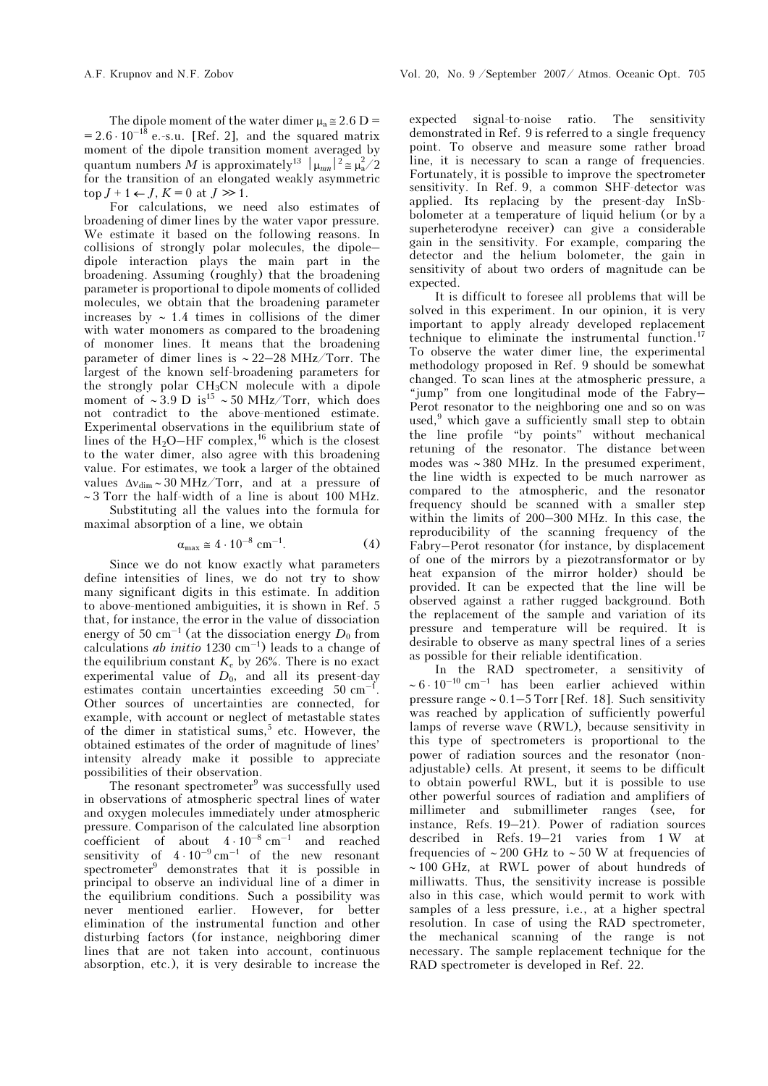The dipole moment of the water dimer  $\mu_a \approx 2.6$  D =  $= 2.6 \cdot 10^{-18}$  e.-s.u. [Ref. 2], and the squared matrix moment of the dipole transition moment averaged by quantum numbers M is approximately<sup>13</sup>  $|\mu_{mn}|^2 \approx \mu_a^2/2$ for the transition of an elongated weakly asymmetric  $top J + 1 \leftarrow J$ ,  $K = 0$  at  $J \gg 1$ .

For calculations, we need also estimates of broadening of dimer lines by the water vapor pressure. We estimate it based on the following reasons. In collisions of strongly polar molecules, the dipole– dipole interaction plays the main part in the broadening. Assuming (roughly) that the broadening parameter is proportional to dipole moments of collided molecules, we obtain that the broadening parameter increases by ∼ 1.4 times in collisions of the dimer with water monomers as compared to the broadening of monomer lines. It means that the broadening parameter of dimer lines is ∼ 22–28 MHz/Torr. The largest of the known self-broadening parameters for the strongly polar CH3CN molecule with a dipole moment of ~3.9 D is<sup>15</sup> ~50 MHz/Torr, which does not contradict to the above-mentioned estimate. Experimental observations in the equilibrium state of lines of the  $H_2O-HF$  complex,<sup>16</sup> which is the closest to the water dimer, also agree with this broadening value. For estimates, we took a larger of the obtained values Δνdim ∼ 30 MHz/Torr, and at a pressure of ∼ 3 Torr the half-width of a line is about 100 MHz.

 Substituting all the values into the formula for maximal absorption of a line, we obtain

$$
\alpha_{\text{max}} \cong 4 \cdot 10^{-8} \text{ cm}^{-1}.
$$
 (4)

Since we do not know exactly what parameters define intensities of lines, we do not try to show many significant digits in this estimate. In addition to above-mentioned ambiguities, it is shown in Ref. 5 that, for instance, the error in the value of dissociation energy of 50 cm<sup>-1</sup> (at the dissociation energy  $D_0$  from calculations *ab initio* 1230 cm<sup>-1</sup>) leads to a change of the equilibrium constant  $K_e$  by 26%. There is no exact experimental value of  $D_0$ , and all its present-day estimates contain uncertainties exceeding 50 cm<sup>-1</sup> Other sources of uncertainties are connected, for example, with account or neglect of metastable states of the dimer in statistical sums,<sup>5</sup> etc. However, the obtained estimates of the order of magnitude of lines' intensity already make it possible to appreciate possibilities of their observation.

The resonant spectrometer<sup>9</sup> was successfully used in observations of atmospheric spectral lines of water and oxygen molecules immediately under atmospheric pressure. Comparison of the calculated line absorption coefficient of about  $4 \cdot 10^{-8}$  cm<sup>-1</sup> and reached sensitivity of  $4 \cdot 10^{-9}$  cm<sup>-1</sup> of the new resonant spectrometer<sup>9</sup> demonstrates that it is possible in principal to observe an individual line of a dimer in the equilibrium conditions. Such a possibility was never mentioned earlier. However, for better elimination of the instrumental function and other disturbing factors (for instance, neighboring dimer lines that are not taken into account, continuous absorption, etc.), it is very desirable to increase the

expected signal-to-noise ratio. The sensitivity demonstrated in Ref. 9 is referred to a single frequency point. To observe and measure some rather broad line, it is necessary to scan a range of frequencies. Fortunately, it is possible to improve the spectrometer sensitivity. In Ref. 9, a common SHF-detector was applied. Its replacing by the present-day InSbbolometer at a temperature of liquid helium (or by a superheterodyne receiver) can give a considerable gain in the sensitivity. For example, comparing the detector and the helium bolometer, the gain in sensitivity of about two orders of magnitude can be expected.

It is difficult to foresee all problems that will be solved in this experiment. In our opinion, it is very important to apply already developed replacement technique to eliminate the instrumental function.<sup>17</sup> To observe the water dimer line, the experimental methodology proposed in Ref. 9 should be somewhat changed. To scan lines at the atmospheric pressure, a "jump" from one longitudinal mode of the Fabry– Perot resonator to the neighboring one and so on was used,  $9$  which gave a sufficiently small step to obtain the line profile "by points" without mechanical retuning of the resonator. The distance between modes was ∼ 380 MHz. In the presumed experiment, the line width is expected to be much narrower as compared to the atmospheric, and the resonator frequency should be scanned with a smaller step within the limits of 200–300 MHz. In this case, the reproducibility of the scanning frequency of the Fabry–Perot resonator (for instance, by displacement of one of the mirrors by a piezotransformator or by heat expansion of the mirror holder) should be provided. It can be expected that the line will be observed against a rather rugged background. Both the replacement of the sample and variation of its pressure and temperature will be required. It is desirable to observe as many spectral lines of a series as possible for their reliable identification.

In the RAD spectrometer, a sensitivity of  $~\sim 6 \cdot 10^{-10}$  cm<sup>-1</sup> has been earlier achieved within pressure range ∼ 0.1–5 Torr [Ref. 18]. Such sensitivity was reached by application of sufficiently powerful lamps of reverse wave (RWL), because sensitivity in this type of spectrometers is proportional to the power of radiation sources and the resonator (nonadjustable) cells. At present, it seems to be difficult to obtain powerful RWL, but it is possible to use other powerful sources of radiation and amplifiers of millimeter and submillimeter ranges (see, for instance, Refs. 19–21). Power of radiation sources described in Refs. 19–21 varies from 1 W at frequencies of ∼ 200 GHz to ∼ 50 W at frequencies of ∼ 100 GHz, at RWL power of about hundreds of milliwatts. Thus, the sensitivity increase is possible also in this case, which would permit to work with samples of a less pressure, i.e., at a higher spectral resolution. In case of using the RAD spectrometer, the mechanical scanning of the range is not necessary. The sample replacement technique for the RAD spectrometer is developed in Ref. 22.